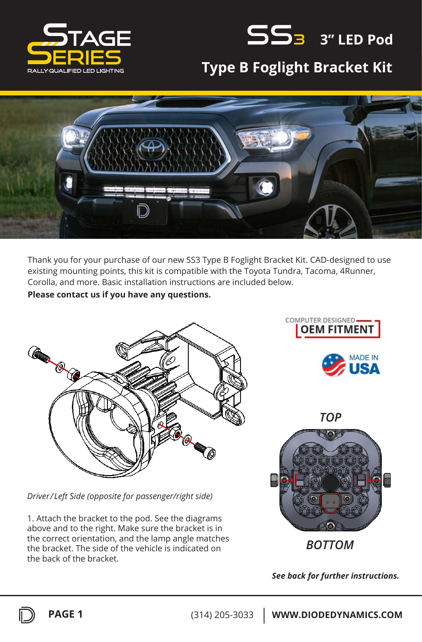



## **Type B Foglight Bracket Kit**



Thank you for your purchase of our new SS3 Type B Foglight Bracket Kit. CAD-designed to use existing mounting points, this kit is compatible with the Toyota Tundra, Tacoma, 4Runner, Corolla, and more. Basic installation instructions are included below.

**Please contact us if you have any questions.**



*Driver / Left Side (opposite for passenger/right side)*

1. Attach the bracket to the pod. See the diagrams above and to the right. Make sure the bracket is in the correct orientation, and the lamp angle matches the bracket. The side of the vehicle is indicated on the back of the bracket.







*See back for further instructions.*